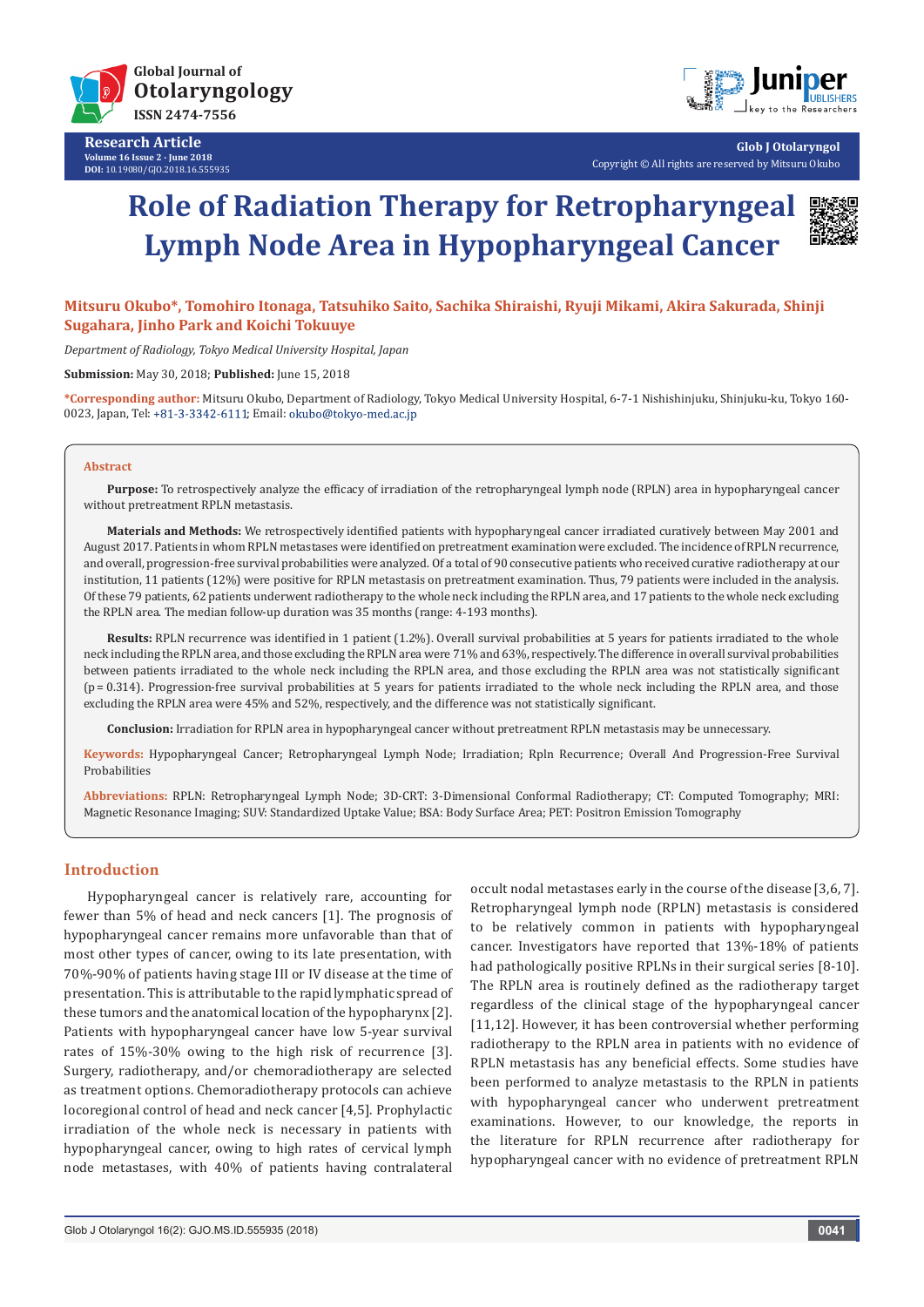

**Research Article Volume 16 Issue 2 - June 2018 DOI:** [10.19080/GJO.2018.16.555935](http://dx.doi.org/10.19080/GJO.2018.16.555935)



**Glob J Otolaryngol** Copyright © All rights are reserved by Mitsuru Okubo

# **Role of Radiation Therapy for Retropharyngeal Lymph Node Area in Hypopharyngeal Cancer**



### **Mitsuru Okubo\*, Tomohiro Itonaga, Tatsuhiko Saito, Sachika Shiraishi, Ryuji Mikami, Akira Sakurada, Shinji Sugahara, Jinho Park and Koichi Tokuuye**

*Department of Radiology, Tokyo Medical University Hospital, Japan*

**Submission:** May 30, 2018; **Published:** June 15, 2018

**\*Corresponding author:** Mitsuru Okubo, Department of Radiology, Tokyo Medical University Hospital, 6-7-1 Nishishinjuku, Shinjuku-ku, Tokyo 160- 0023, Japan, Tel: +81-3-3342-6111; Email: okubo@tokyo-med.ac.jp

#### **Abstract**

**Purpose:** To retrospectively analyze the efficacy of irradiation of the retropharyngeal lymph node (RPLN) area in hypopharyngeal cancer without pretreatment RPLN metastasis.

**Materials and Methods:** We retrospectively identified patients with hypopharyngeal cancer irradiated curatively between May 2001 and August 2017. Patients in whom RPLN metastases were identified on pretreatment examination were excluded. The incidence of RPLN recurrence, and overall, progression-free survival probabilities were analyzed. Of a total of 90 consecutive patients who received curative radiotherapy at our institution, 11 patients (12%) were positive for RPLN metastasis on pretreatment examination. Thus, 79 patients were included in the analysis. Of these 79 patients, 62 patients underwent radiotherapy to the whole neck including the RPLN area, and 17 patients to the whole neck excluding the RPLN area. The median follow-up duration was 35 months (range: 4-193 months).

**Results:** RPLN recurrence was identified in 1 patient (1.2%). Overall survival probabilities at 5 years for patients irradiated to the whole neck including the RPLN area, and those excluding the RPLN area were 71% and 63%, respectively. The difference in overall survival probabilities between patients irradiated to the whole neck including the RPLN area, and those excluding the RPLN area was not statistically significant (p = 0.314). Progression-free survival probabilities at 5 years for patients irradiated to the whole neck including the RPLN area, and those excluding the RPLN area were 45% and 52%, respectively, and the difference was not statistically significant.

**Conclusion:** Irradiation for RPLN area in hypopharyngeal cancer without pretreatment RPLN metastasis may be unnecessary.

**Keywords:** Hypopharyngeal Cancer; Retropharyngeal Lymph Node; Irradiation; Rpln Recurrence; Overall And Progression-Free Survival Probabilities

**Abbreviations:** RPLN: Retropharyngeal Lymph Node; 3D-CRT: 3-Dimensional Conformal Radiotherapy; CT: Computed Tomography; MRI: Magnetic Resonance Imaging; SUV: Standardized Uptake Value; BSA: Body Surface Area; PET: Positron Emission Tomography

### **Introduction**

Hypopharyngeal cancer is relatively rare, accounting for fewer than 5% of head and neck cancers [1]. The prognosis of hypopharyngeal cancer remains more unfavorable than that of most other types of cancer, owing to its late presentation, with 70%-90% of patients having stage III or IV disease at the time of presentation. This is attributable to the rapid lymphatic spread of these tumors and the anatomical location of the hypopharynx [2]. Patients with hypopharyngeal cancer have low 5-year survival rates of 15%-30% owing to the high risk of recurrence [3]. Surgery, radiotherapy, and/or chemoradiotherapy are selected as treatment options. Chemoradiotherapy protocols can achieve locoregional control of head and neck cancer [4,5]. Prophylactic irradiation of the whole neck is necessary in patients with hypopharyngeal cancer, owing to high rates of cervical lymph node metastases, with 40% of patients having contralateral

occult nodal metastases early in the course of the disease [3,6, 7]. Retropharyngeal lymph node (RPLN) metastasis is considered to be relatively common in patients with hypopharyngeal cancer. Investigators have reported that 13%-18% of patients had pathologically positive RPLNs in their surgical series [8-10]. The RPLN area is routinely defined as the radiotherapy target regardless of the clinical stage of the hypopharyngeal cancer [11,12]. However, it has been controversial whether performing radiotherapy to the RPLN area in patients with no evidence of RPLN metastasis has any beneficial effects. Some studies have been performed to analyze metastasis to the RPLN in patients with hypopharyngeal cancer who underwent pretreatment examinations. However, to our knowledge, the reports in the literature for RPLN recurrence after radiotherapy for hypopharyngeal cancer with no evidence of pretreatment RPLN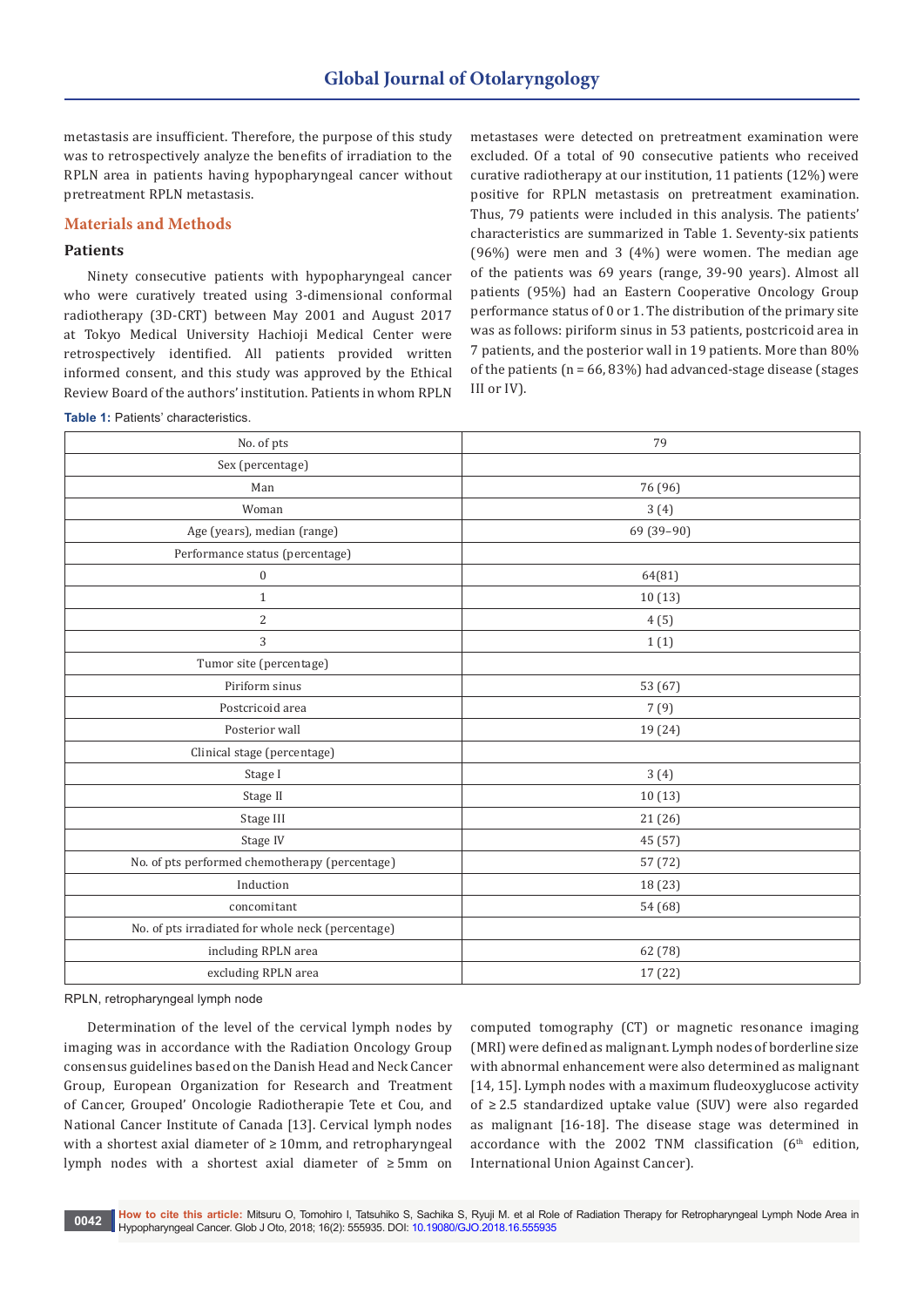metastasis are insufficient. Therefore, the purpose of this study was to retrospectively analyze the benefits of irradiation to the RPLN area in patients having hypopharyngeal cancer without pretreatment RPLN metastasis.

### **Materials and Methods**

### **Patients**

Ninety consecutive patients with hypopharyngeal cancer who were curatively treated using 3-dimensional conformal radiotherapy (3D-CRT) between May 2001 and August 2017 at Tokyo Medical University Hachioji Medical Center were retrospectively identified. All patients provided written informed consent, and this study was approved by the Ethical Review Board of the authors' institution. Patients in whom RPLN

**Table 1:** Patients' characteristics.

metastases were detected on pretreatment examination were excluded. Of a total of 90 consecutive patients who received curative radiotherapy at our institution, 11 patients (12%) were positive for RPLN metastasis on pretreatment examination. Thus, 79 patients were included in this analysis. The patients' characteristics are summarized in Table 1. Seventy-six patients (96%) were men and 3 (4%) were women. The median age of the patients was 69 years (range, 39-90 years). Almost all patients (95%) had an Eastern Cooperative Oncology Group performance status of 0 or 1. The distribution of the primary site was as follows: piriform sinus in 53 patients, postcricoid area in 7 patients, and the posterior wall in 19 patients. More than 80% of the patients ( $n = 66, 83\%$ ) had advanced-stage disease (stages III or IV).

| No. of pts                                        | 79         |  |  |  |  |
|---------------------------------------------------|------------|--|--|--|--|
| Sex (percentage)                                  |            |  |  |  |  |
| Man                                               | 76 (96)    |  |  |  |  |
| Woman                                             | 3(4)       |  |  |  |  |
| Age (years), median (range)                       | 69 (39-90) |  |  |  |  |
| Performance status (percentage)                   |            |  |  |  |  |
| $\boldsymbol{0}$                                  | 64(81)     |  |  |  |  |
| $\mathbf{1}$                                      | 10(13)     |  |  |  |  |
| $\overline{2}$                                    | 4(5)       |  |  |  |  |
| 3                                                 | 1(1)       |  |  |  |  |
| Tumor site (percentage)                           |            |  |  |  |  |
| Piriform sinus                                    | 53 (67)    |  |  |  |  |
| Postcricoid area                                  | 7(9)       |  |  |  |  |
| Posterior wall                                    | 19 (24)    |  |  |  |  |
| Clinical stage (percentage)                       |            |  |  |  |  |
| Stage I                                           | 3(4)       |  |  |  |  |
| Stage II                                          | 10(13)     |  |  |  |  |
| Stage III                                         | 21 (26)    |  |  |  |  |
| Stage IV                                          | 45 (57)    |  |  |  |  |
| No. of pts performed chemotherapy (percentage)    | 57 (72)    |  |  |  |  |
| Induction                                         | 18 (23)    |  |  |  |  |
| concomitant                                       | 54 (68)    |  |  |  |  |
| No. of pts irradiated for whole neck (percentage) |            |  |  |  |  |
| including RPLN area                               | 62 (78)    |  |  |  |  |
| excluding RPLN area                               | 17 (22)    |  |  |  |  |

RPLN, retropharyngeal lymph node

Determination of the level of the cervical lymph nodes by imaging was in accordance with the Radiation Oncology Group consensus guidelines based on the Danish Head and Neck Cancer Group, European Organization for Research and Treatment of Cancer, Grouped' Oncologie Radiotherapie Tete et Cou, and National Cancer Institute of Canada [13]. Cervical lymph nodes with a shortest axial diameter of ≥ 10mm, and retropharyngeal lymph nodes with a shortest axial diameter of ≥ 5mm on

computed tomography (CT) or magnetic resonance imaging (MRI) were defined as malignant. Lymph nodes of borderline size with abnormal enhancement were also determined as malignant [14, 15]. Lymph nodes with a maximum fludeoxyglucose activity of ≥ 2.5 standardized uptake value (SUV) were also regarded as malignant [16-18]. The disease stage was determined in accordance with the 2002 TNM classification  $(6<sup>th</sup>$  edition, International Union Against Cancer).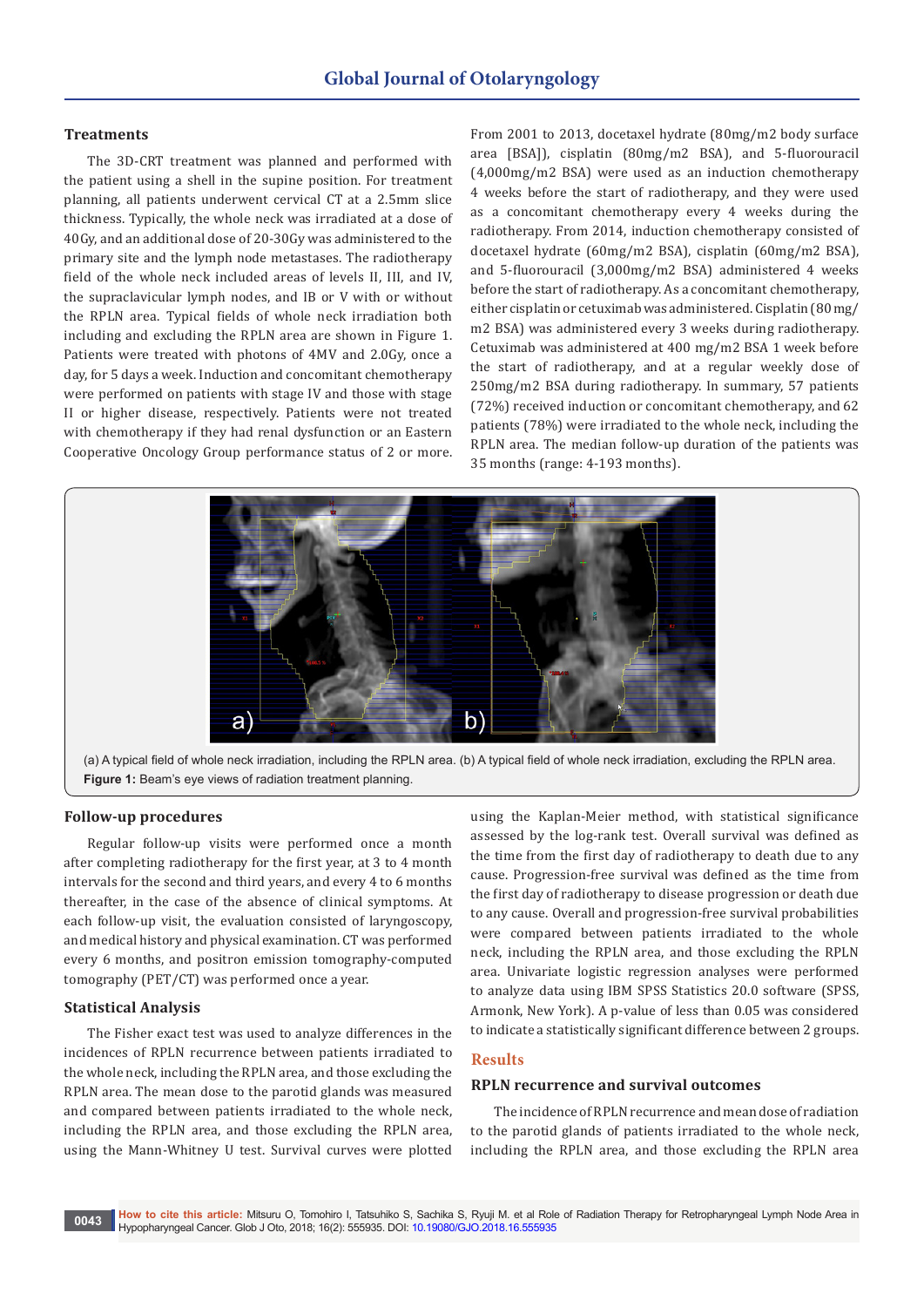### **Treatments**

The 3D-CRT treatment was planned and performed with the patient using a shell in the supine position. For treatment planning, all patients underwent cervical CT at a 2.5mm slice thickness. Typically, the whole neck was irradiated at a dose of 40Gy, and an additional dose of 20-30Gy was administered to the primary site and the lymph node metastases. The radiotherapy field of the whole neck included areas of levels II, III, and IV, the supraclavicular lymph nodes, and IB or V with or without the RPLN area. Typical fields of whole neck irradiation both including and excluding the RPLN area are shown in Figure 1. Patients were treated with photons of 4MV and 2.0Gy, once a day, for 5 days a week. Induction and concomitant chemotherapy were performed on patients with stage IV and those with stage II or higher disease, respectively. Patients were not treated with chemotherapy if they had renal dysfunction or an Eastern Cooperative Oncology Group performance status of 2 or more.

From 2001 to 2013, docetaxel hydrate (80mg/m2 body surface area [BSA]), cisplatin (80mg/m2 BSA), and 5-fluorouracil (4,000mg/m2 BSA) were used as an induction chemotherapy 4 weeks before the start of radiotherapy, and they were used as a concomitant chemotherapy every 4 weeks during the radiotherapy. From 2014, induction chemotherapy consisted of docetaxel hydrate (60mg/m2 BSA), cisplatin (60mg/m2 BSA), and 5-fluorouracil (3,000mg/m2 BSA) administered 4 weeks before the start of radiotherapy. As a concomitant chemotherapy, either cisplatin or cetuximab was administered. Cisplatin (80 mg/ m2 BSA) was administered every 3 weeks during radiotherapy. Cetuximab was administered at 400 mg/m2 BSA 1 week before the start of radiotherapy, and at a regular weekly dose of 250mg/m2 BSA during radiotherapy. In summary, 57 patients (72%) received induction or concomitant chemotherapy, and 62 patients (78%) were irradiated to the whole neck, including the RPLN area. The median follow-up duration of the patients was 35 months (range: 4-193 months).



(a) A typical field of whole neck irradiation, including the RPLN area. (b) A typical field of whole neck irradiation, excluding the RPLN area. **Figure 1:** Beam's eye views of radiation treatment planning.

### **Follow-up procedures**

Regular follow-up visits were performed once a month after completing radiotherapy for the first year, at 3 to 4 month intervals for the second and third years, and every 4 to 6 months thereafter, in the case of the absence of clinical symptoms. At each follow-up visit, the evaluation consisted of laryngoscopy, and medical history and physical examination. CT was performed every 6 months, and positron emission tomography-computed tomography (PET/CT) was performed once a year.

### **Statistical Analysis**

The Fisher exact test was used to analyze differences in the incidences of RPLN recurrence between patients irradiated to the whole neck, including the RPLN area, and those excluding the RPLN area. The mean dose to the parotid glands was measured and compared between patients irradiated to the whole neck, including the RPLN area, and those excluding the RPLN area, using the Mann-Whitney U test. Survival curves were plotted

using the Kaplan-Meier method, with statistical significance assessed by the log-rank test. Overall survival was defined as the time from the first day of radiotherapy to death due to any cause. Progression-free survival was defined as the time from the first day of radiotherapy to disease progression or death due to any cause. Overall and progression-free survival probabilities were compared between patients irradiated to the whole neck, including the RPLN area, and those excluding the RPLN area. Univariate logistic regression analyses were performed to analyze data using IBM SPSS Statistics 20.0 software (SPSS, Armonk, New York). A p-value of less than 0.05 was considered to indicate a statistically significant difference between 2 groups.

### **Results**

#### **RPLN recurrence and survival outcomes**

The incidence of RPLN recurrence and mean dose of radiation to the parotid glands of patients irradiated to the whole neck, including the RPLN area, and those excluding the RPLN area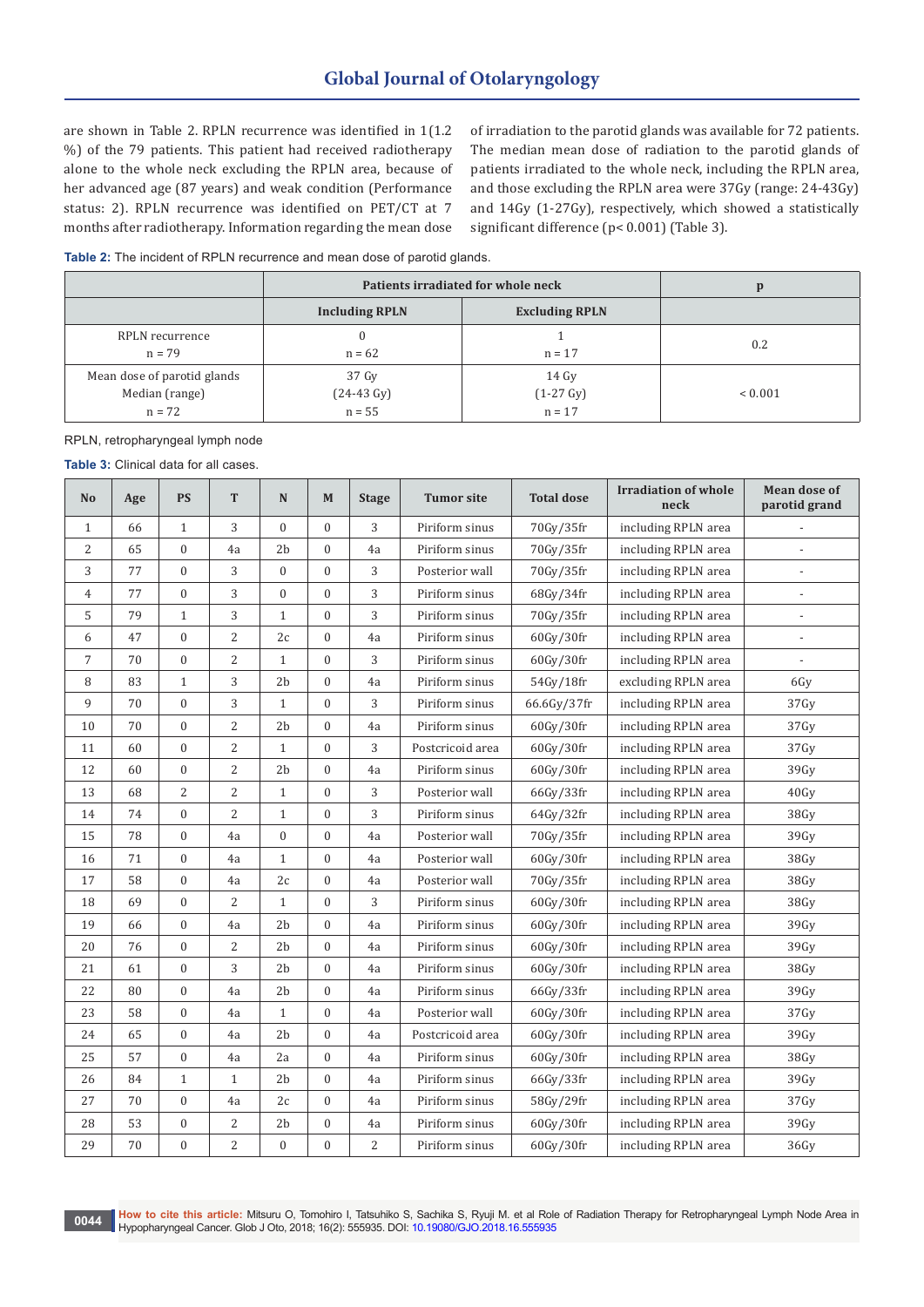are shown in Table 2. RPLN recurrence was identified in 1(1.2 %) of the 79 patients. This patient had received radiotherapy alone to the whole neck excluding the RPLN area, because of her advanced age (87 years) and weak condition (Performance status: 2). RPLN recurrence was identified on PET/CT at 7 months after radiotherapy. Information regarding the mean dose of irradiation to the parotid glands was available for 72 patients. The median mean dose of radiation to the parotid glands of patients irradiated to the whole neck, including the RPLN area, and those excluding the RPLN area were 37Gy (range: 24-43Gy) and 14Gy (1-27Gy), respectively, which showed a statistically significant difference (p< 0.001) (Table 3).

**Table 2:** The incident of RPLN recurrence and mean dose of parotid glands.

|                                                           | Patients irradiated for whole neck        | p                                        |             |
|-----------------------------------------------------------|-------------------------------------------|------------------------------------------|-------------|
|                                                           | <b>Including RPLN</b>                     | <b>Excluding RPLN</b>                    |             |
| RPLN recurrence<br>$n = 79$                               | $n = 62$                                  | $n = 17$                                 | 0.2         |
| Mean dose of parotid glands<br>Median (range)<br>$n = 72$ | 37 Gy<br>$(24-43 \text{ Gy})$<br>$n = 55$ | 14 Gv<br>$(1-27 \text{ Gy})$<br>$n = 17$ | ${}< 0.001$ |

RPLN, retropharyngeal lymph node

**Table 3:** Clinical data for all cases.

| N <sub>0</sub> | Age | <b>PS</b>        | T              | N                | M                | <b>Stage</b>   | <b>Tumor site</b> | <b>Total dose</b>                | <b>Irradiation of whole</b><br>neck | <b>Mean dose of</b><br>parotid grand |
|----------------|-----|------------------|----------------|------------------|------------------|----------------|-------------------|----------------------------------|-------------------------------------|--------------------------------------|
| $\mathbf{1}$   | 66  | $\mathbf{1}$     | 3              | $\mathbf{0}$     | $\overline{0}$   | 3              | Piriform sinus    | 70Gv/35fr                        | including RPLN area                 |                                      |
| 2              | 65  | $\mathbf{0}$     | 4a             | 2 <sub>b</sub>   | $\overline{0}$   | 4a             | Piriform sinus    | 70Gy/35fr                        | including RPLN area                 |                                      |
| 3              | 77  | $\mathbf{0}$     | 3              | $\boldsymbol{0}$ | $\mathbf{0}$     | 3              | Posterior wall    | 70Gy/35fr                        | including RPLN area                 |                                      |
| $\overline{4}$ | 77  | $\boldsymbol{0}$ | 3              | $\boldsymbol{0}$ | $\boldsymbol{0}$ | 3              | Piriform sinus    | 68Gy/34fr                        | including RPLN area                 | $\overline{a}$                       |
| 5              | 79  | $\mathbf{1}$     | 3              | $1\,$            | $\boldsymbol{0}$ | 3              | Piriform sinus    | 70Gy/35fr                        | including RPLN area                 |                                      |
| 6              | 47  | $\boldsymbol{0}$ | 2              | 2c               | $\boldsymbol{0}$ | 4a             | Piriform sinus    | 60Gy/30fr                        | including RPLN area                 | $\overline{a}$                       |
| $\overline{7}$ | 70  | $\mathbf{0}$     | 2              | $\mathbf{1}$     | $\overline{0}$   | 3              | Piriform sinus    | 60Gy/30fr                        | including RPLN area                 |                                      |
| 8              | 83  | $\mathbf{1}$     | 3              | 2 <sub>b</sub>   | $\overline{0}$   | 4a             | Piriform sinus    | 54Gy/18fr                        | excluding RPLN area                 | 6Gy                                  |
| 9              | 70  | $\boldsymbol{0}$ | 3              | $\mathbf{1}$     | $\boldsymbol{0}$ | 3              | Piriform sinus    | 66.6Gy/37fr                      | including RPLN area                 | 37Gy                                 |
| 10             | 70  | $\boldsymbol{0}$ | 2              | 2 <sub>b</sub>   | $\overline{0}$   | 4a             | Piriform sinus    | 60Gy/30fr                        | including RPLN area                 | 37Gv                                 |
| 11             | 60  | $\overline{0}$   | 2              | $\mathbf{1}$     | $\overline{0}$   | 3              | Postcricoid area  | 60Gy/30fr                        | including RPLN area                 | 37Gy                                 |
| 12             | 60  | $\boldsymbol{0}$ | 2              | 2 <sub>b</sub>   | $\boldsymbol{0}$ | 4a             | Piriform sinus    | 60Gy/30fr                        | including RPLN area                 | 39Gy                                 |
| 13             | 68  | $\overline{2}$   | $\overline{2}$ | $\mathbf{1}$     | $\boldsymbol{0}$ | 3              | Posterior wall    | 66Gy/33fr                        | including RPLN area                 | 40Gy                                 |
| 14             | 74  | $\mathbf{0}$     | $\overline{2}$ | $\mathbf{1}$     | $\overline{0}$   | 3              | Piriform sinus    | 64Gy/32fr                        | including RPLN area                 | 38Gv                                 |
| 15             | 78  | $\boldsymbol{0}$ | 4a             | $\boldsymbol{0}$ | $\boldsymbol{0}$ | 4a             | Posterior wall    | 70Gy/35fr<br>including RPLN area |                                     | 39Gy                                 |
| 16             | 71  | $\boldsymbol{0}$ | 4a             | $1\,$            | $\boldsymbol{0}$ | 4a             | Posterior wall    | 60Gy/30fr<br>including RPLN area |                                     | 38Gy                                 |
| 17             | 58  | $\boldsymbol{0}$ | 4a             | 2c               | $\boldsymbol{0}$ | 4a             | Posterior wall    | 70Gy/35fr<br>including RPLN area |                                     | 38Gy                                 |
| 18             | 69  | $\overline{0}$   | $\overline{2}$ | $\mathbf{1}$     | $\overline{0}$   | 3              | Piriform sinus    | 60Gy/30fr                        | including RPLN area                 | 38Gy                                 |
| 19             | 66  | $\boldsymbol{0}$ | 4a             | 2 <sub>b</sub>   | $\overline{0}$   | 4a             | Piriform sinus    | 60Gy/30fr                        | including RPLN area                 |                                      |
| 20             | 76  | $\mathbf{0}$     | 2              | 2 <sub>b</sub>   | $\mathbf{0}$     | 4a             | Piriform sinus    | 60Gy/30fr                        | including RPLN area                 | 39Gy                                 |
| 21             | 61  | $\boldsymbol{0}$ | 3              | 2 <sub>b</sub>   | $\boldsymbol{0}$ | 4a             | Piriform sinus    | 60Gy/30fr                        | including RPLN area                 | 38Gy                                 |
| 22             | 80  | $\mathbf{0}$     | 4a             | 2 <sub>b</sub>   | $\overline{0}$   | 4a             | Piriform sinus    | 66Gy/33fr                        | including RPLN area                 | 39Gv                                 |
| 23             | 58  | $\mathbf{0}$     | 4a             | $\mathbf{1}$     | $\overline{0}$   | 4a             | Posterior wall    | 60Gy/30fr                        | including RPLN area                 | 37Gy                                 |
| 24             | 65  | $\boldsymbol{0}$ | 4a             | 2 <sub>b</sub>   | 0                | 4a             | Postcricoid area  | 60Gy/30fr                        | including RPLN area                 | 39Gy                                 |
| 25             | 57  | $\boldsymbol{0}$ | 4a             | 2a               | $\boldsymbol{0}$ | 4a             | Piriform sinus    | 60Gy/30fr                        | including RPLN area                 | 38Gy                                 |
| 26             | 84  | $\mathbf{1}$     | $\mathbf{1}$   | 2 <sub>b</sub>   | $\boldsymbol{0}$ | 4a             | Piriform sinus    | 66Gy/33fr                        | including RPLN area                 | 39Gv                                 |
| 27             | 70  | $\mathbf{0}$     | 4a             | 2c               | $\overline{0}$   | 4a             | Piriform sinus    | 58Gy/29fr                        | including RPLN area                 | 37Gy                                 |
| 28             | 53  | $\boldsymbol{0}$ | 2              | 2 <sub>b</sub>   | $\mathbf{0}$     | 4a             | Piriform sinus    | 60Gy/30fr                        | including RPLN area                 | 39Gy                                 |
| 29             | 70  | $\boldsymbol{0}$ | $\overline{2}$ | $\boldsymbol{0}$ | $\boldsymbol{0}$ | $\overline{2}$ | Piriform sinus    | 60Gy/30fr                        | including RPLN area                 | 36Gy                                 |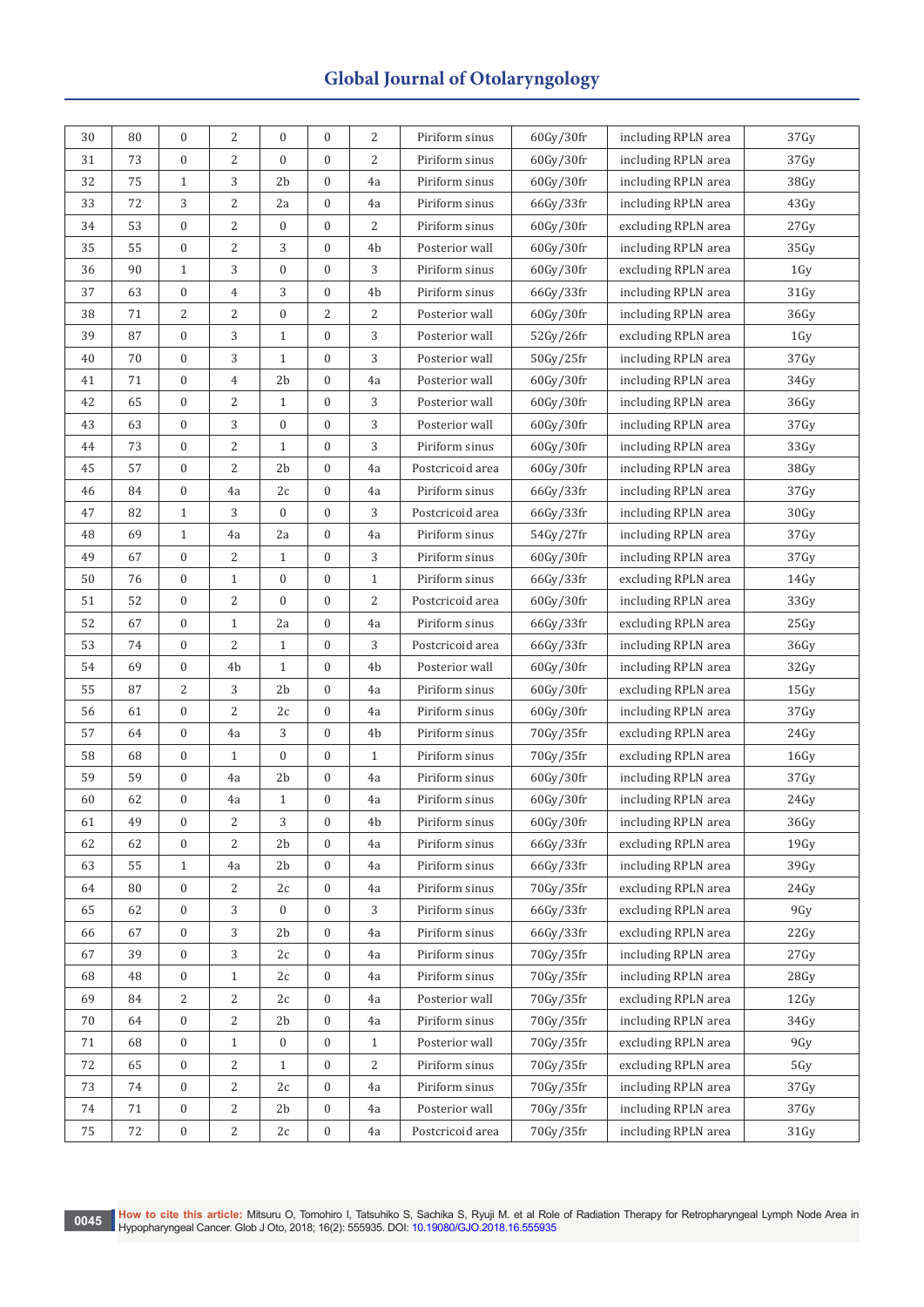| 30 | 80 | $\mathbf{0}$     | 2            | $\mathbf{0}$     | $\mathbf{0}$     | 2              | Piriform sinus                                     | 60Gv/30fr | including RPLN area | 37Gy |
|----|----|------------------|--------------|------------------|------------------|----------------|----------------------------------------------------|-----------|---------------------|------|
| 31 | 73 | $\boldsymbol{0}$ | 2            | $\boldsymbol{0}$ | 0                | $\overline{2}$ | Piriform sinus                                     | 60Gy/30fr | including RPLN area | 37Gy |
| 32 | 75 | $\mathbf{1}$     | 3            | 2 <sub>b</sub>   | 0                | 4a             | Piriform sinus                                     | 60Gy/30fr | including RPLN area | 38Gy |
| 33 | 72 | 3                | 2            | 2a               | 0                | 4a             | Piriform sinus                                     | 66Gy/33fr | including RPLN area | 43Gy |
| 34 | 53 | $\boldsymbol{0}$ | 2            | 0                | 0                | $\overline{2}$ | Piriform sinus                                     | 60Gy/30fr | excluding RPLN area | 27Gy |
| 35 | 55 | $\boldsymbol{0}$ | 2            | 3                | 0                | 4b             | Posterior wall                                     | 60Gy/30fr | including RPLN area | 35Gy |
| 36 | 90 | $\mathbf{1}$     | 3            | $\boldsymbol{0}$ | 0                | 3              | Piriform sinus                                     | 60Gy/30fr | excluding RPLN area | 1Gy  |
| 37 | 63 | $\boldsymbol{0}$ | 4            | 3                | 0                | 4b             | Piriform sinus                                     | 66Gy/33fr | including RPLN area | 31Gy |
| 38 | 71 | $\overline{2}$   | 2            | $\boldsymbol{0}$ | 2                | $\overline{2}$ | Posterior wall                                     | 60Gy/30fr | including RPLN area | 36Gy |
| 39 | 87 | $\boldsymbol{0}$ | 3            | $\mathbf{1}$     | 0                | 3              | Posterior wall                                     | 52Gy/26fr | excluding RPLN area | 1Gy  |
| 40 | 70 | $\boldsymbol{0}$ | 3            | $\mathbf{1}$     | $\boldsymbol{0}$ | 3              | Posterior wall                                     | 50Gy/25fr | including RPLN area | 37Gy |
| 41 | 71 | $\boldsymbol{0}$ | 4            | 2b               | $\boldsymbol{0}$ | 4a             | Posterior wall                                     | 60Gy/30fr | including RPLN area | 34Gy |
| 42 | 65 | $\boldsymbol{0}$ | 2            | $\mathbf{1}$     | 0                | 3              | Posterior wall                                     | 60Gy/30fr | including RPLN area | 36Gy |
| 43 | 63 | $\boldsymbol{0}$ | 3            | $\boldsymbol{0}$ | $\boldsymbol{0}$ | 3              | Posterior wall                                     | 60Gy/30fr | including RPLN area | 37Gy |
| 44 | 73 | $\boldsymbol{0}$ | 2            | $\mathbf{1}$     | $\boldsymbol{0}$ | 3              | Piriform sinus                                     | 60Gy/30fr | including RPLN area | 33Gy |
| 45 | 57 | $\boldsymbol{0}$ | 2            | 2b               | $\boldsymbol{0}$ | 4a             | Postcricoid area                                   | 60Gy/30fr | including RPLN area | 38Gy |
| 46 | 84 | $\boldsymbol{0}$ | 4a           | 2c               | $\boldsymbol{0}$ | 4a             | Piriform sinus                                     | 66Gy/33fr | including RPLN area | 37Gy |
| 47 | 82 | $1\,$            | 3            | $\boldsymbol{0}$ | $\boldsymbol{0}$ | 3              | Postcricoid area                                   | 66Gy/33fr | including RPLN area | 30Gy |
| 48 | 69 | $\mathbf{1}$     | 4a           | 2a               | $\boldsymbol{0}$ | 4a             | Piriform sinus                                     | 54Gy/27fr | including RPLN area | 37Gy |
| 49 | 67 | $\boldsymbol{0}$ | 2            | $\mathbf{1}$     | $\overline{0}$   | 3              | Piriform sinus                                     | 60Gy/30fr | including RPLN area | 37Gy |
| 50 | 76 | $\boldsymbol{0}$ | $\mathbf{1}$ | $\boldsymbol{0}$ | 0                | $\mathbf{1}$   | Piriform sinus                                     | 66Gy/33fr | excluding RPLN area | 14Gy |
| 51 | 52 | $\boldsymbol{0}$ | 2            | $\boldsymbol{0}$ | $\boldsymbol{0}$ | $\overline{2}$ | Postcricoid area                                   | 60Gy/30fr | including RPLN area | 33Gy |
| 52 | 67 | $\boldsymbol{0}$ | $\mathbf{1}$ | 2a               | $\boldsymbol{0}$ | 4a             | Piriform sinus                                     | 66Gy/33fr | excluding RPLN area | 25Gy |
| 53 | 74 | $\boldsymbol{0}$ | 2            | $\mathbf{1}$     | 0                | 3              | Postcricoid area                                   | 66Gy/33fr | including RPLN area | 36Gy |
| 54 | 69 | $\boldsymbol{0}$ | 4b           | $\mathbf{1}$     | 0                | 4 <sub>b</sub> | Posterior wall                                     | 60Gy/30fr | including RPLN area | 32Gy |
| 55 | 87 | 2                | 3            | 2b               | $\boldsymbol{0}$ | 4a             | Piriform sinus                                     | 60Gy/30fr | excluding RPLN area | 15Gy |
| 56 | 61 | $\boldsymbol{0}$ | 2            | 2c               | $\boldsymbol{0}$ | 4a             | Piriform sinus                                     | 60Gy/30fr | including RPLN area | 37Gy |
| 57 | 64 | $\boldsymbol{0}$ | 4a           | 3                | 0                | 4b             | Piriform sinus                                     | 70Gy/35fr | excluding RPLN area | 24Gy |
| 58 | 68 | $\boldsymbol{0}$ | $\mathbf{1}$ | $\boldsymbol{0}$ | 0                | $\mathbf{1}$   | Piriform sinus<br>70Gy/35fr<br>excluding RPLN area |           | 16Gy                |      |
| 59 | 59 | $\boldsymbol{0}$ | 4a           | 2 <sub>b</sub>   | 0                | 4a             | Piriform sinus                                     | 60Gy/30fr | including RPLN area | 37Gy |
| 60 | 62 | $\boldsymbol{0}$ | 4a           | $\mathbf{1}$     | $\boldsymbol{0}$ | 4a             | Piriform sinus                                     | 60Gy/30fr | including RPLN area | 24Gy |
| 61 | 49 | 0                | 2            | 3                | 0                | 4b             | Piriform sinus                                     | 60Gy/30fr | including RPLN area | 36Gy |
| 62 | 62 | $\boldsymbol{0}$ | 2            | 2 <sub>b</sub>   | $\boldsymbol{0}$ | 4a             | Piriform sinus                                     | 66Gy/33fr | excluding RPLN area | 19Gy |
| 63 | 55 | $\mathbf{1}$     | 4a           | 2 <sub>b</sub>   | $\boldsymbol{0}$ | 4a             | Piriform sinus                                     | 66Gy/33fr | including RPLN area | 39Gy |
| 64 | 80 | $\boldsymbol{0}$ | 2            | 2c               | 0                | 4a             | Piriform sinus                                     | 70Gy/35fr | excluding RPLN area | 24Gy |
| 65 | 62 | $\boldsymbol{0}$ | 3            | 0                | $\boldsymbol{0}$ | 3              | Piriform sinus                                     | 66Gy/33fr | excluding RPLN area | 9Gy  |
| 66 | 67 | $\boldsymbol{0}$ | 3            | 2b               | 0                | 4a             | Piriform sinus                                     | 66Gy/33fr | excluding RPLN area | 22Gy |
| 67 | 39 | $\boldsymbol{0}$ | 3            | 2c               | 0                | 4a             | Piriform sinus                                     | 70Gy/35fr | including RPLN area | 27Gy |
| 68 | 48 | $\boldsymbol{0}$ | $\mathbf{1}$ | 2c               | $\boldsymbol{0}$ | 4a             | Piriform sinus                                     | 70Gy/35fr | including RPLN area | 28Gy |
| 69 | 84 | 2                | 2            | 2c               | 0                | 4a             | Posterior wall                                     | 70Gy/35fr | excluding RPLN area | 12Gy |
| 70 | 64 | 0                | 2            | 2b               | 0                | 4a             | Piriform sinus                                     | 70Gy/35fr | including RPLN area | 34Gy |
| 71 | 68 | $\boldsymbol{0}$ | $\mathbf{1}$ | $\boldsymbol{0}$ | $\boldsymbol{0}$ | $\mathbf{1}$   | Posterior wall                                     | 70Gy/35fr | excluding RPLN area | 9Gy  |
| 72 | 65 | $\boldsymbol{0}$ | 2            | $\mathbf{1}$     | 0                | 2              | Piriform sinus                                     | 70Gy/35fr | excluding RPLN area | 5Gy  |
| 73 | 74 | $\boldsymbol{0}$ | 2            | 2c               | 0                | 4a             | Piriform sinus                                     | 70Gy/35fr | including RPLN area | 37Gy |
| 74 | 71 | $\boldsymbol{0}$ | 2            | 2 <sub>b</sub>   | 0                | 4a             | Posterior wall                                     | 70Gy/35fr | including RPLN area | 37Gy |
| 75 | 72 | $\boldsymbol{0}$ | 2            | 2c               | $\boldsymbol{0}$ | 4a             | Postcricoid area                                   | 70Gy/35fr | including RPLN area | 31Gy |
|    |    |                  |              |                  |                  |                |                                                    |           |                     |      |

0045 How to cite this article: Mitsuru O, Tomohiro I, Tatsuhiko S, Sachika S, Ryuji M. et al Role of Radiation Therapy for Retropharyngeal Lymph Node Area in<br>Hypopharyngeal Cancer. Glob J Oto, 2018; 16(2): 555935. DOI: 10.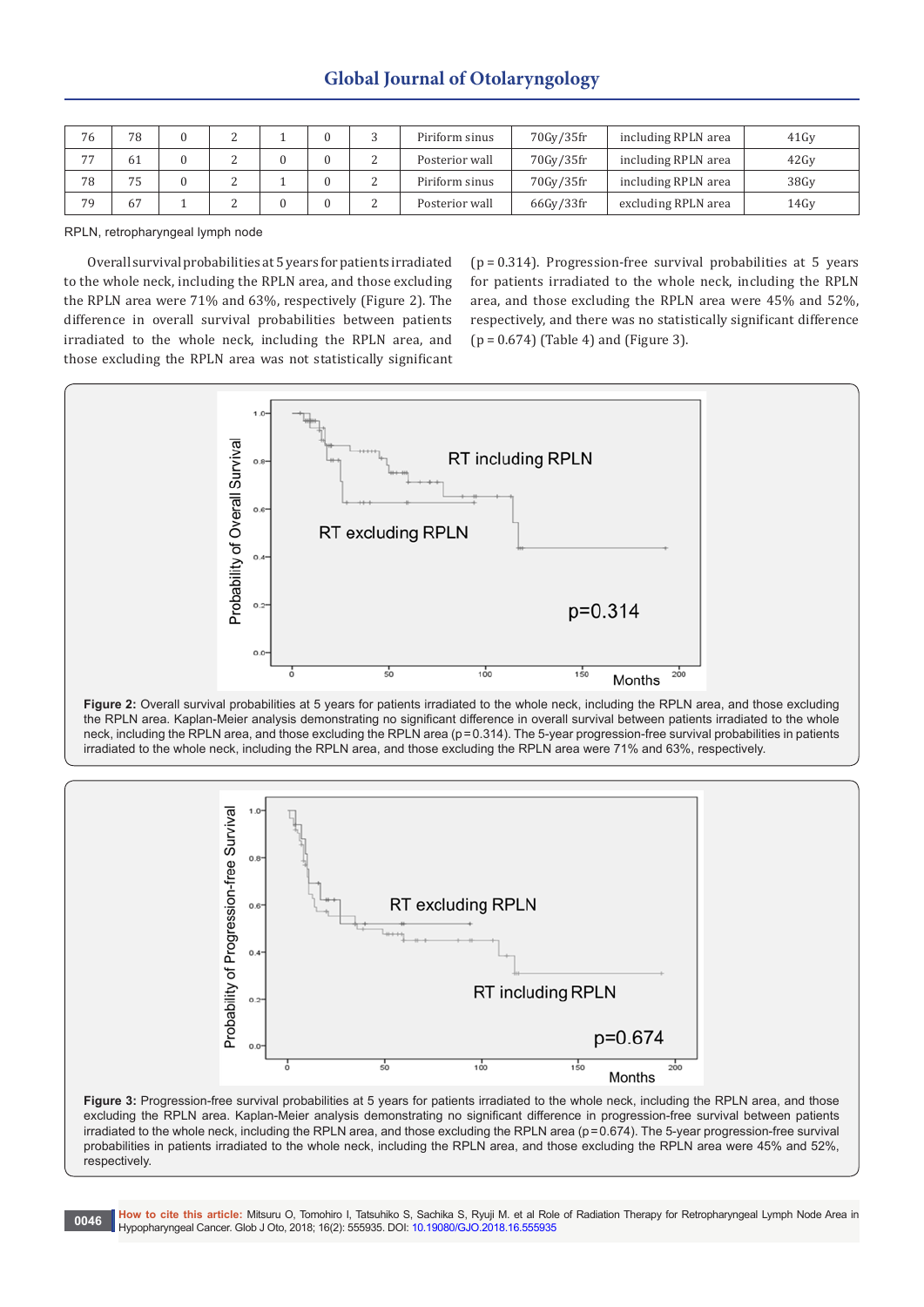| 76 | 78 |  |  | Piriform sinus | 70Gy/35fr | including RPLN area | 41Gv |
|----|----|--|--|----------------|-----------|---------------------|------|
| 77 | 61 |  |  | Posterior wall | 70Gy/35fr | including RPLN area | 42Gv |
| 78 | 75 |  |  | Piriform sinus | 70Gy/35fr | including RPLN area | 38Gv |
| 79 | 67 |  |  | Posterior wall | 66Gy/33fr | excluding RPLN area | 14Gv |

RPLN, retropharyngeal lymph node

Overall survival probabilities at 5 years for patients irradiated to the whole neck, including the RPLN area, and those excluding the RPLN area were 71% and 63%, respectively (Figure 2). The difference in overall survival probabilities between patients irradiated to the whole neck, including the RPLN area, and those excluding the RPLN area was not statistically significant

(p = 0.314). Progression-free survival probabilities at 5 years for patients irradiated to the whole neck, including the RPLN area, and those excluding the RPLN area were 45% and 52%, respectively, and there was no statistically significant difference (p = 0.674) (Table 4) and (Figure 3).







Figure 3: Progression-free survival probabilities at 5 years for patients irradiated to the whole neck, including the RPLN area, and those excluding the RPLN area. Kaplan-Meier analysis demonstrating no significant difference in progression-free survival between patients irradiated to the whole neck, including the RPLN area, and those excluding the RPLN area (p=0.674). The 5-year progression-free survival probabilities in patients irradiated to the whole neck, including the RPLN area, and those excluding the RPLN area were 45% and 52%, respectively.

**0046 How to cite this article:** Mitsuru O, Tomohiro I, Tatsuhiko S, Sachika S, Ryuji M. et al Role of Radiation Therapy for Retropharyngeal Lymph Node Area in Hypopharyngeal Cancer. Glob J Oto, 2018; 16(2): 555935. DOI: [10.19080/GJO.2018.16.555935](http://dx.doi.org/10.19080/GJO.2018.16.555935)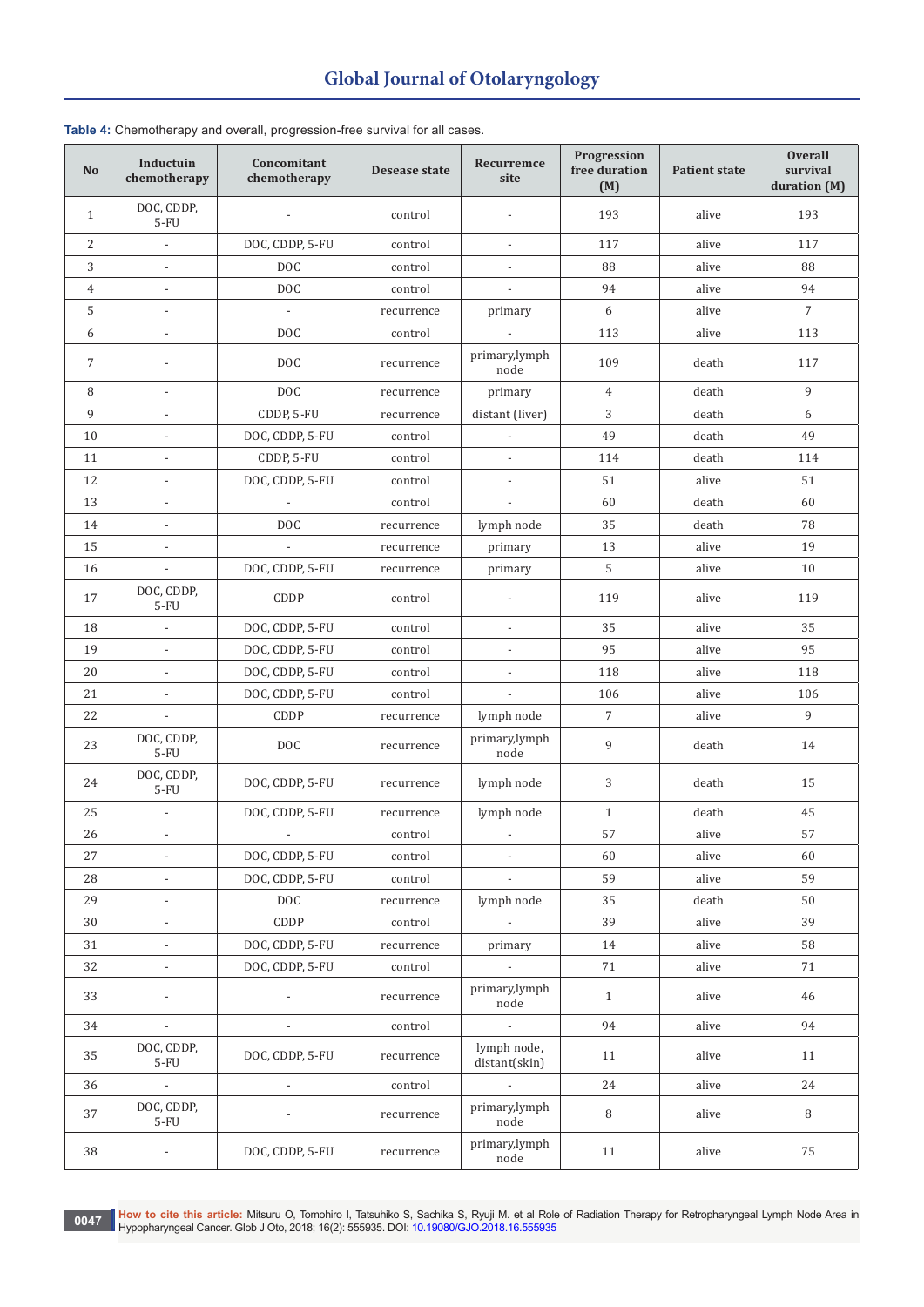| No             | Inductuin<br>chemotherapy | Concomitant<br>chemotherapy | Desease state | Recurremce<br>site           | Progression<br>free duration<br>(M) | <b>Patient state</b> | <b>Overall</b><br>survival<br>duration (M) |
|----------------|---------------------------|-----------------------------|---------------|------------------------------|-------------------------------------|----------------------|--------------------------------------------|
| $\mathbf{1}$   | DOC, CDDP,<br>$5-FU$      | $\overline{\phantom{a}}$    | control       |                              | 193                                 | alive                | 193                                        |
| $\overline{2}$ | $\overline{\phantom{a}}$  | DOC, CDDP, 5-FU             | control       | $\overline{\phantom{a}}$     | 117                                 | alive                | 117                                        |
| 3              |                           | DOC                         | control       |                              | 88                                  | alive                | 88                                         |
| $\overline{4}$ | $\overline{\phantom{m}}$  | <b>DOC</b>                  | control       |                              | 94                                  | alive                | 94                                         |
| 5              |                           |                             | recurrence    | primary                      | 6                                   | alive                | $7\overline{ }$                            |
| 6              | $\overline{\phantom{a}}$  | <b>DOC</b>                  | control       |                              | 113                                 | alive                | 113                                        |
| $\overline{7}$ |                           | <b>DOC</b>                  | recurrence    | primary,lymph<br>node        | 109                                 | death                | 117                                        |
| 8              | $\overline{\phantom{0}}$  | <b>DOC</b>                  | recurrence    | primary                      | $\overline{4}$                      | death                | 9                                          |
| 9              |                           | CDDP, 5-FU                  | recurrence    | distant (liver)              | 3                                   | death                | 6                                          |
| 10             |                           | DOC, CDDP, 5-FU             | control       |                              | 49                                  | death                | 49                                         |
| 11             | $\overline{\phantom{a}}$  | CDDP, 5-FU                  | control       | $\overline{a}$               | 114                                 | death                | 114                                        |
| 12             | $\overline{\phantom{a}}$  | DOC, CDDP, 5-FU             | control       |                              | 51                                  | alive                | 51                                         |
| 13             | $\overline{\phantom{0}}$  | $\overline{\phantom{a}}$    | control       |                              | 60                                  | death                | 60                                         |
| 14             | $\overline{a}$            | <b>DOC</b>                  | recurrence    | lymph node                   | 35                                  | death                | 78                                         |
| 15             |                           |                             | recurrence    | primary                      | 13                                  | alive                | 19                                         |
| 16             | $\overline{\phantom{0}}$  | DOC, CDDP, 5-FU             | recurrence    | primary                      | 5                                   | alive                | 10                                         |
| 17             | DOC, CDDP,<br>$5-FU$      | CDDP                        | control       |                              | 119                                 | alive                | 119                                        |
| 18             | $\overline{a}$            | DOC, CDDP, 5-FU             | control       |                              | 35                                  | alive                | 35                                         |
| 19             | $\overline{a}$            | DOC, CDDP, 5-FU             | control       |                              | 95                                  | alive                | 95                                         |
| 20             | $\overline{\phantom{a}}$  | DOC, CDDP, 5-FU             | control       |                              | 118                                 | alive                | 118                                        |
| 21             | $\overline{\phantom{0}}$  | DOC, CDDP, 5-FU             | control       |                              | 106                                 | alive                | 106                                        |
| 22             |                           | CDDP                        | recurrence    | lymph node                   | 7                                   | alive                | 9                                          |
| 23             | DOC, CDDP,<br>$5-FU$      | DOC                         | recurrence    | primary,lymph<br>node        | 9                                   | death                | 14                                         |
| 24             | DOC, CDDP,<br>$5-FU$      | DOC, CDDP, 5-FU             | recurrence    | lymph node                   | 3                                   | death                | 15                                         |
| 25             | $\overline{\phantom{a}}$  | DOC, CDDP, 5-FU             | recurrence    | lymph node                   | $\mathbf{1}$                        | death                | 45                                         |
| 26             | $\overline{a}$            | $\overline{\phantom{a}}$    | control       |                              | 57                                  | alive                | 57                                         |
| 27             | $\overline{\phantom{m}}$  | DOC, CDDP, 5-FU             | control       | $\overline{\phantom{a}}$     | 60                                  | alive                | 60                                         |
| 28             |                           | DOC, CDDP, 5-FU             | control       |                              | 59                                  | alive                | 59                                         |
| 29             | $\overline{a}$            | <b>DOC</b>                  | recurrence    | lymph node                   | 35                                  | death                | 50                                         |
| 30             | $\overline{\phantom{a}}$  | CDDP                        | control       | $\sim$                       | 39                                  | alive                | 39                                         |
| 31             |                           | DOC, CDDP, 5-FU             | recurrence    | primary                      | 14                                  | alive                | 58                                         |
| 32             |                           | DOC, CDDP, 5-FU             | control       |                              | $7\sqrt{1}$                         | alive                | 71                                         |
| 33             |                           | $\overline{\phantom{a}}$    | recurrence    | primary,lymph<br>node        | $\mathbf{1}$                        | alive                | 46                                         |
| 34             | $\blacksquare$            | $\overline{\phantom{a}}$    | control       | $\overline{\phantom{a}}$     | 94                                  | alive                | 94                                         |
| 35             | DOC, CDDP,<br>$5-FU$      | DOC, CDDP, 5-FU             | recurrence    | lymph node,<br>distant(skin) | 11                                  | alive                | 11                                         |
| 36             | $\overline{\phantom{a}}$  |                             | control       |                              | 24                                  | alive                | 24                                         |
| 37             | DOC, CDDP,<br>$5-FU$      |                             | recurrence    | primary,lymph<br>node        | 8                                   | alive                | 8                                          |
| 38             | $\overline{\phantom{m}}$  | DOC, CDDP, 5-FU             | recurrence    | primary,lymph<br>node        | 11                                  | alive                | 75                                         |

### **Table 4:** Chemotherapy and overall, progression-free survival for all cases.

0047 How to cite this article: Mitsuru O, Tomohiro I, Tatsuhiko S, Sachika S, Ryuji M. et al Role of Radiation Therapy for Retropharyngeal Lymph Node Area in<br>Hypopharyngeal Cancer. Glob J Oto, 2018; 16(2): 555935. DOI: 10.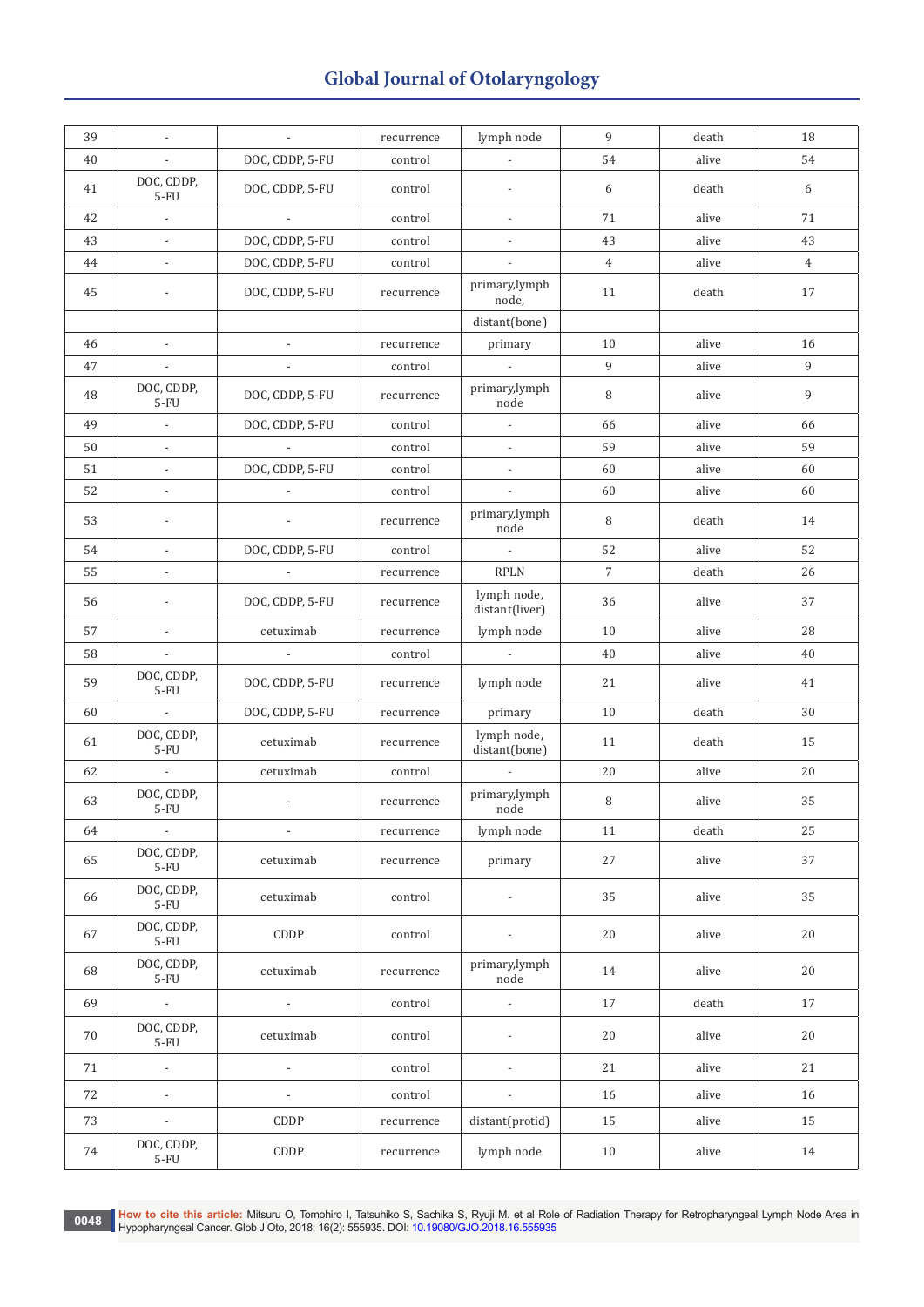| 39 | $\blacksquare$           | $\blacksquare$           | recurrence | lymph node                    | 9              | death | 18             |
|----|--------------------------|--------------------------|------------|-------------------------------|----------------|-------|----------------|
| 40 | $\blacksquare$           | DOC, CDDP, 5-FU          | control    |                               | 54             | alive | 54             |
| 41 | DOC, CDDP,<br>$5-FU$     | DOC, CDDP, 5-FU          | control    |                               | 6              | death | 6              |
| 42 | $\overline{\phantom{a}}$ | $\overline{\phantom{a}}$ | control    | $\blacksquare$                | 71             | alive | 71             |
| 43 | $\blacksquare$           | DOC, CDDP, 5-FU          | control    |                               | 43             | alive | 43             |
| 44 |                          | DOC, CDDP, 5-FU          | control    |                               | $\overline{4}$ | alive | $\overline{4}$ |
| 45 | $\overline{a}$           | DOC, CDDP, 5-FU          | recurrence | primary,lymph<br>node,        | 11             | death | 17             |
|    |                          |                          |            | distant(bone)                 |                |       |                |
| 46 | $\mathcal{L}$            | $\mathcal{L}$            | recurrence | primary                       | 10             | alive | 16             |
| 47 | $\mathcal{L}$            | $\overline{\phantom{a}}$ | control    | $\mathbb{L}$                  | 9              | alive | $\overline{9}$ |
| 48 | DOC, CDDP,<br>$5-FU$     | DOC, CDDP, 5-FU          | recurrence | primary,lymph<br>$\rm node$   | 8              | alive | 9              |
| 49 | $\overline{\phantom{a}}$ | DOC, CDDP, 5-FU          | control    | $\overline{\phantom{a}}$      | 66             | alive | 66             |
| 50 | $\mathbb{L}$             |                          | control    |                               | 59             | alive | 59             |
| 51 | $\overline{\phantom{a}}$ | DOC, CDDP, 5-FU          | control    |                               | 60             | alive | 60             |
| 52 | $\overline{\phantom{a}}$ | $\overline{\phantom{a}}$ | control    | $\blacksquare$                | 60             | alive | 60             |
| 53 |                          | $\overline{\phantom{a}}$ | recurrence | primary,lymph<br>node         | 8              | death | 14             |
| 54 | $\overline{\phantom{a}}$ | DOC, CDDP, 5-FU          | control    | $\overline{\phantom{a}}$      | 52             | alive | 52             |
| 55 | $\overline{\phantom{a}}$ | $\overline{\phantom{a}}$ | recurrence | <b>RPLN</b>                   | $\overline{7}$ | death | 26             |
| 56 |                          | DOC, CDDP, 5-FU          | recurrence | lymph node,<br>distant(liver) | 36             | alive | 37             |
| 57 | $\blacksquare$           | cetuximab                | recurrence | lymph node                    | 10             | alive | 28             |
| 58 |                          | $\overline{\phantom{a}}$ | control    |                               | 40             | alive | 40             |
| 59 | DOC, CDDP,<br>$5-FU$     | DOC, CDDP, 5-FU          | recurrence | lymph node                    | 21             | alive | 41             |
| 60 | $\overline{\phantom{a}}$ | DOC, CDDP, 5-FU          | recurrence | primary                       | 10             | death | 30             |
| 61 | DOC, CDDP,<br>$5-FU$     | cetuximab                | recurrence | lymph node,<br>distant(bone)  | 11             | death | 15             |
| 62 | $\sim$                   | cetuximab                | control    | $\mathcal{L}$                 | 20             | alive | 20             |
| 63 | DOC, CDDP,<br>$5-FU$     | $\overline{\phantom{a}}$ | recurrence | primary,lymph<br>node         | 8              | alive | 35             |
| 64 | $\blacksquare$           | $\overline{\phantom{a}}$ | recurrence | lymph node                    | 11             | death | 25             |
| 65 | DOC, CDDP,<br>$5-FU$     | cetuximab                | recurrence | primary                       | 27             | alive | 37             |
| 66 | DOC, CDDP,<br>$5-FU$     | cetuximab                | control    | $\overline{\phantom{a}}$      | 35             | alive | 35             |
| 67 | DOC, CDDP,<br>$5-FU$     | CDDP                     | control    | $\overline{\phantom{a}}$      | 20             | alive | 20             |
| 68 | DOC, CDDP,<br>$5-FU$     | cetuximab                | recurrence | primary,lymph<br>node         | 14             | alive | 20             |
| 69 | $\mathbb{L}^+$           | $\blacksquare$           | control    | $\overline{\phantom{a}}$      | 17             | death | 17             |
| 70 | DOC, CDDP,<br>$5-FU$     | cetuximab                | control    |                               | 20             | alive | 20             |
| 71 | $\overline{\phantom{a}}$ | $\overline{\phantom{a}}$ | control    |                               | 21             | alive | 21             |
| 72 | $\overline{\phantom{a}}$ | $\overline{\phantom{a}}$ | control    |                               | 16             | alive | 16             |
| 73 | $\overline{\phantom{a}}$ | CDDP                     |            | distant(protid)               | 15             | alive | 15             |
|    |                          |                          | recurrence |                               |                |       |                |
| 74 | DOC, CDDP,<br>$5-FU$     | CDDP                     | recurrence | lymph node                    | 10             | alive | 14             |

0048 How to cite this article: Mitsuru O, Tomohiro I, Tatsuhiko S, Sachika S, Ryuji M. et al Role of Radiation Therapy for Retropharyngeal Lymph Node Area in<br>Hypopharyngeal Capea: Glob LOte 2018: 16(2): 555035 DOL:10 10080 Hypopharyngeal Cancer. Glob J Oto, 2018; 16(2): 555935. DOI: [10.19080/GJO.2018.16.555935](http://dx.doi.org/10.19080/GJO.2018.16.555935)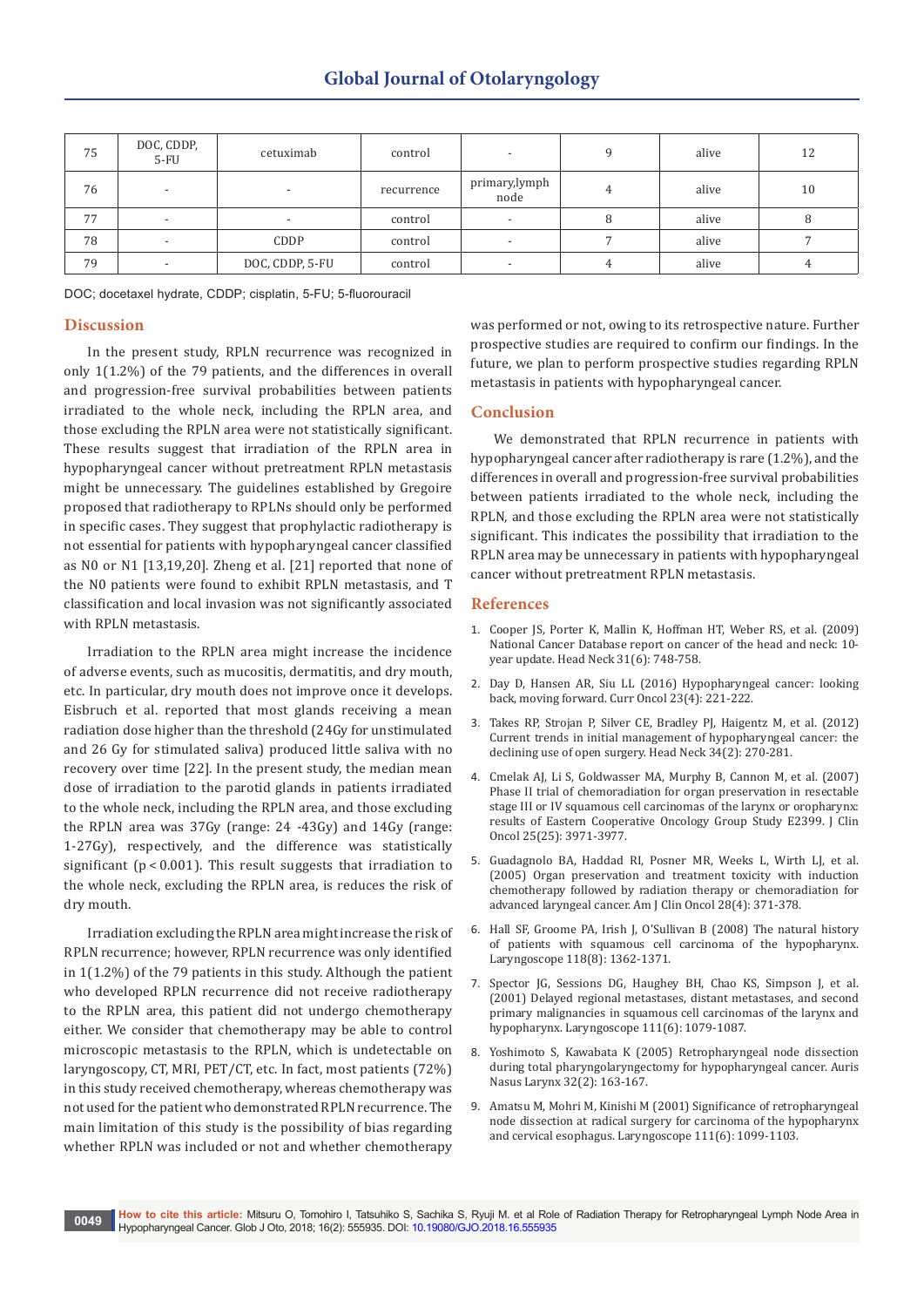| 75 | DOC, CDDP,<br>$5-FU$     | cetuximab       | control    |                       | alive | 12 |
|----|--------------------------|-----------------|------------|-----------------------|-------|----|
| 76 | $\overline{\phantom{0}}$ |                 | recurrence | primary,lymph<br>node | alive | 10 |
| 77 |                          | -               | control    |                       | alive | 8  |
| 78 | $\overline{\phantom{0}}$ | CDDP            | control    |                       | alive |    |
| 79 | $\overline{\phantom{0}}$ | DOC, CDDP, 5-FU | control    |                       | alive | 4  |

DOC; docetaxel hydrate, CDDP; cisplatin, 5-FU; 5-fluorouracil

### **Discussion**

In the present study, RPLN recurrence was recognized in only 1(1.2%) of the 79 patients, and the differences in overall and progression-free survival probabilities between patients irradiated to the whole neck, including the RPLN area, and those excluding the RPLN area were not statistically significant. These results suggest that irradiation of the RPLN area in hypopharyngeal cancer without pretreatment RPLN metastasis might be unnecessary. The guidelines established by Gregoire proposed that radiotherapy to RPLNs should only be performed in specific cases. They suggest that prophylactic radiotherapy is not essential for patients with hypopharyngeal cancer classified as N0 or N1 [13,19,20]. Zheng et al. [21] reported that none of the N0 patients were found to exhibit RPLN metastasis, and T classification and local invasion was not significantly associated with RPLN metastasis.

Irradiation to the RPLN area might increase the incidence of adverse events, such as mucositis, dermatitis, and dry mouth, etc. In particular, dry mouth does not improve once it develops. Eisbruch et al. reported that most glands receiving a mean radiation dose higher than the threshold (24Gy for unstimulated and 26 Gy for stimulated saliva) produced little saliva with no recovery over time [22]. In the present study, the median mean dose of irradiation to the parotid glands in patients irradiated to the whole neck, including the RPLN area, and those excluding the RPLN area was 37Gy (range: 24 -43Gy) and 14Gy (range: 1-27Gy), respectively, and the difference was statistically significant ( $p < 0.001$ ). This result suggests that irradiation to the whole neck, excluding the RPLN area, is reduces the risk of dry mouth.

Irradiation excluding the RPLN area might increase the risk of RPLN recurrence; however, RPLN recurrence was only identified in 1(1.2%) of the 79 patients in this study. Although the patient who developed RPLN recurrence did not receive radiotherapy to the RPLN area, this patient did not undergo chemotherapy either. We consider that chemotherapy may be able to control microscopic metastasis to the RPLN, which is undetectable on laryngoscopy, CT, MRI, PET/CT, etc. In fact, most patients (72%) in this study received chemotherapy, whereas chemotherapy was not used for the patient who demonstrated RPLN recurrence. The main limitation of this study is the possibility of bias regarding whether RPLN was included or not and whether chemotherapy

was performed or not, owing to its retrospective nature. Further prospective studies are required to confirm our findings. In the future, we plan to perform prospective studies regarding RPLN metastasis in patients with hypopharyngeal cancer.

### **Conclusion**

We demonstrated that RPLN recurrence in patients with hypopharyngeal cancer after radiotherapy is rare (1.2%), and the differences in overall and progression-free survival probabilities between patients irradiated to the whole neck, including the RPLN, and those excluding the RPLN area were not statistically significant. This indicates the possibility that irradiation to the RPLN area may be unnecessary in patients with hypopharyngeal cancer without pretreatment RPLN metastasis.

### **References**

- 1. [Cooper JS, Porter K, Mallin K, Hoffman HT, Weber RS, et al. \(2009\)](https://www.ncbi.nlm.nih.gov/pubmed/19189340)  [National Cancer Database report on cancer of the head and neck: 10](https://www.ncbi.nlm.nih.gov/pubmed/19189340) [year update. Head Neck 31\(6\): 748-758.](https://www.ncbi.nlm.nih.gov/pubmed/19189340)
- 2. [Day D, Hansen AR, Siu LL \(2016\) Hypopharyngeal cancer: looking](https://www.ncbi.nlm.nih.gov/pubmed/27536170)  [back, moving forward. Curr Oncol 23\(4\): 221-222.](https://www.ncbi.nlm.nih.gov/pubmed/27536170)
- 3. [Takes RP, Strojan P, Silver CE, Bradley PJ, Haigentz M, et al. \(2012\)](https://www.ncbi.nlm.nih.gov/pubmed/22228621)  [Current trends in initial management of hypopharyngeal cancer: the](https://www.ncbi.nlm.nih.gov/pubmed/22228621)  [declining use of open surgery. Head Neck 34\(2\): 270-281.](https://www.ncbi.nlm.nih.gov/pubmed/22228621)
- 4. [Cmelak AJ, Li S, Goldwasser MA, Murphy B, Cannon M, et al. \(2007\)](https://www.ncbi.nlm.nih.gov/pubmed/17761982)  [Phase II trial of chemoradiation for organ preservation in resectable](https://www.ncbi.nlm.nih.gov/pubmed/17761982)  [stage III or IV squamous cell carcinomas of the larynx or oropharynx:](https://www.ncbi.nlm.nih.gov/pubmed/17761982)  [results of Eastern Cooperative Oncology Group Study E2399. J Clin](https://www.ncbi.nlm.nih.gov/pubmed/17761982)  [Oncol 25\(25\): 3971-3977.](https://www.ncbi.nlm.nih.gov/pubmed/17761982)
- 5. [Guadagnolo BA, Haddad RI, Posner MR, Weeks L, Wirth LJ, et al.](https://www.ncbi.nlm.nih.gov/pubmed/16062079)  [\(2005\) Organ preservation and treatment toxicity with induction](https://www.ncbi.nlm.nih.gov/pubmed/16062079)  [chemotherapy followed by radiation therapy or chemoradiation for](https://www.ncbi.nlm.nih.gov/pubmed/16062079)  [advanced laryngeal cancer. Am J Clin Oncol 28\(4\): 371-378.](https://www.ncbi.nlm.nih.gov/pubmed/16062079)
- 6. [Hall SF, Groome PA, Irish J, O'Sullivan B \(2008\) The natural history](https://www.ncbi.nlm.nih.gov/pubmed/18496152)  [of patients with squamous cell carcinoma of the hypopharynx.](https://www.ncbi.nlm.nih.gov/pubmed/18496152)  [Laryngoscope 118\(8\): 1362-1371.](https://www.ncbi.nlm.nih.gov/pubmed/18496152)
- 7. [Spector JG, Sessions DG, Haughey BH, Chao KS, Simpson J, et al.](https://www.ncbi.nlm.nih.gov/pubmed/11404625)  [\(2001\) Delayed regional metastases, distant metastases, and second](https://www.ncbi.nlm.nih.gov/pubmed/11404625)  [primary malignancies in squamous cell carcinomas of the larynx and](https://www.ncbi.nlm.nih.gov/pubmed/11404625)  [hypopharynx. Laryngoscope 111\(6\): 1079-1087.](https://www.ncbi.nlm.nih.gov/pubmed/11404625)
- 8. [Yoshimoto S, Kawabata K \(2005\) Retropharyngeal node dissection](https://www.ncbi.nlm.nih.gov/pubmed/15917174)  [during total pharyngolaryngectomy for hypopharyngeal cancer. Auris](https://www.ncbi.nlm.nih.gov/pubmed/15917174)  [Nasus Larynx 32\(2\): 163-167.](https://www.ncbi.nlm.nih.gov/pubmed/15917174)
- 9. [Amatsu M, Mohri M, Kinishi M \(2001\) Significance of retropharyngeal](https://www.ncbi.nlm.nih.gov/pubmed/11404628)  [node dissection at radical surgery for carcinoma of the hypopharynx](https://www.ncbi.nlm.nih.gov/pubmed/11404628)  [and cervical esophagus. Laryngoscope 111\(6\): 1099-1103.](https://www.ncbi.nlm.nih.gov/pubmed/11404628)